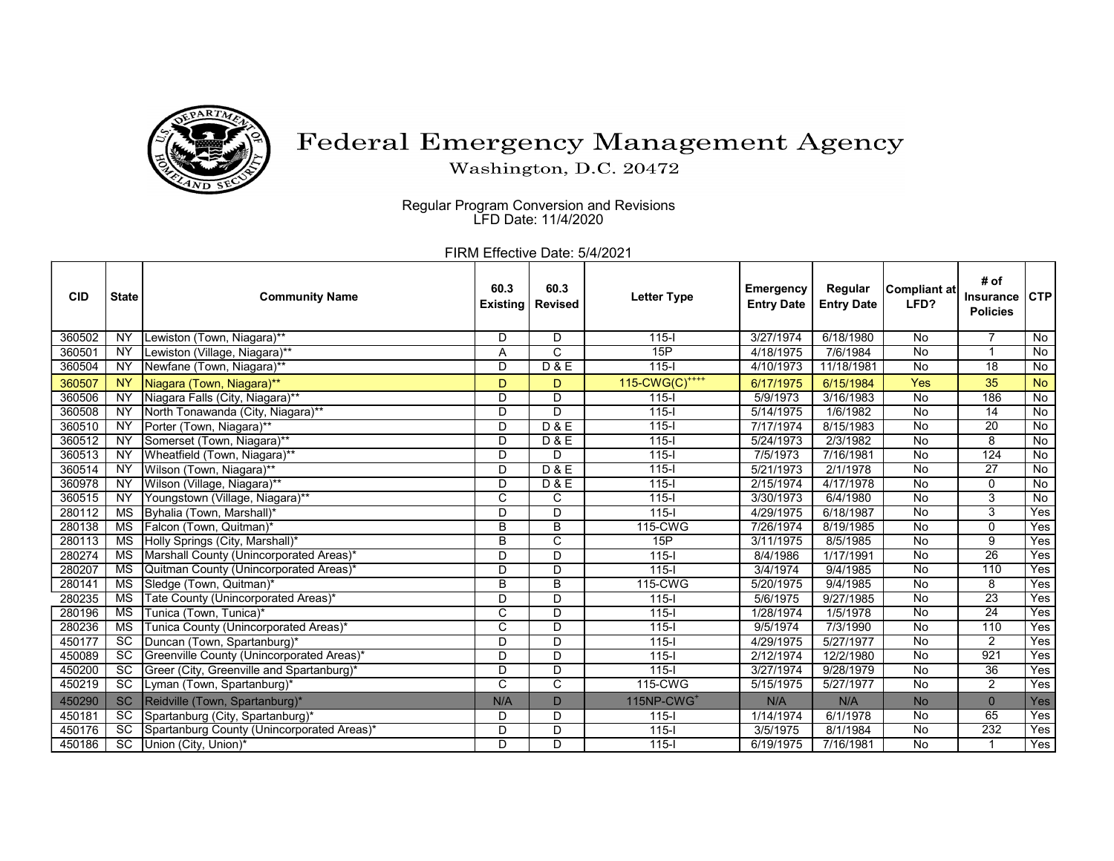

## Federal Emergency Management Agency

Washington, D.C. 20472

Regular Program Conversion and Revisions LFD Date: 11/4/2020

FIRM Effective Date: 5/4/2021

| <b>CID</b> | <b>State</b>           | <b>Community Name</b>                      | 60.3<br><b>Existing</b> | 60.3<br><b>Revised</b> | <b>Letter Type</b>         | <b>Emergency</b><br><b>Entry Date</b> | Regular<br><b>Entry Date</b> | Compliant at<br>LFD? | # of<br><b>Insurance</b><br><b>Policies</b> | <b>CTP</b>     |
|------------|------------------------|--------------------------------------------|-------------------------|------------------------|----------------------------|---------------------------------------|------------------------------|----------------------|---------------------------------------------|----------------|
| 360502     | <b>NY</b>              | Lewiston (Town, Niagara)**                 | D                       | D                      | $115 -$                    | 3/27/1974                             | 6/18/1980                    | No                   |                                             | No             |
| 360501     | <b>NY</b>              | Lewiston (Village, Niagara)**              | Α                       | C                      | 15P                        | 4/18/1975                             | 7/6/1984                     | No                   |                                             | No             |
| 360504     | <b>NY</b>              | Newfane (Town, Niagara)**                  | D                       | D & E                  | $115 -$                    | 4/10/1973                             | 11/18/1981                   | No                   | $\overline{18}$                             | No             |
| 360507     | <b>NY</b>              | Niagara (Town, Niagara)**                  | D                       | D                      | 115-CWG(C) <sup>++++</sup> | 6/17/1975                             | 6/15/1984                    | <b>Yes</b>           | 35                                          | <b>No</b>      |
| 360506     | $\overline{NY}$        | Niagara Falls (City, Niagara)**            | D                       | D                      | $115 -$                    | 5/9/1973                              | 3/16/1983                    | No                   | 186                                         | $\overline{N}$ |
| 360508     | <b>NY</b>              | North Tonawanda (City, Niagara)**          | D                       | D                      | $115 -$                    | 5/14/1975                             | 1/6/1982                     | No                   | $\overline{14}$                             | <b>No</b>      |
| 360510     | <b>NY</b>              | Porter (Town, Niagara)**                   | D                       | D & E                  | $115 -$                    | 7/17/1974                             | 8/15/1983                    | No                   | 20                                          | No             |
| 360512     | <b>NY</b>              | Somerset (Town, Niagara)**                 | D                       | <b>D&amp;E</b>         | $115 -$                    | 5/24/1973                             | 2/3/1982                     | No                   | 8                                           | $\overline{N}$ |
| 360513     | <b>NY</b>              | Wheatfield (Town, Niagara)**               | D                       | D                      | $115 -$                    | 7/5/1973                              | 7/16/1981                    | No                   | 124                                         | No             |
| 360514     | <b>NY</b>              | Wilson (Town, Niagara)**                   | D                       | <b>D&amp;E</b>         | $115 -$                    | 5/21/1973                             | 2/1/1978                     | No                   | $\overline{27}$                             | $\overline{N}$ |
| 360978     | <b>NY</b>              | Wilson (Village, Niagara)**                | D                       | <b>D&amp;E</b>         | $115 -$                    | 2/15/1974                             | 4/17/1978                    | No                   | 0                                           | <b>No</b>      |
| 360515     | NY                     | Youngstown (Village, Niagara)**            | C                       | C                      | $115 -$                    | 3/30/1973                             | 6/4/1980                     | No                   | 3                                           | No             |
| 280112     | $\overline{\text{MS}}$ | Byhalia (Town, Marshall)*                  | D                       | D                      | $115 -$                    | 4/29/1975                             | 6/18/1987                    | No                   | 3                                           | Yes            |
| 280138     | MS                     | Falcon (Town, Quitman)*                    | B                       | B                      | 115-CWG                    | 7/26/1974                             | 8/19/1985                    | No                   | 0                                           | Yes            |
| 280113     | <b>MS</b>              | Holly Springs (City, Marshall)*            | B                       | C                      | 15P                        | 3/11/1975                             | 8/5/1985                     | No                   | 9                                           | Yes            |
| 280274     | MS                     | Marshall County (Unincorporated Areas)*    | D                       | D                      | $115 -$                    | 8/4/1986                              | 1/17/1991                    | $\overline{N}$       | 26                                          | Yes            |
| 280207     | MS                     | Quitman County (Unincorporated Areas)*     | D                       | D                      | $115 -$                    | 3/4/1974                              | 9/4/1985                     | No                   | 110                                         | Yes            |
| 280141     | <b>MS</b>              | Sledge (Town, Quitman)*                    | B                       | B                      | 115-CWG                    | 5/20/1975                             | 9/4/1985                     | No                   | 8                                           | Yes            |
| 280235     | MS                     | Tate County (Unincorporated Areas)*        | D                       | D                      | $115 -$                    | 5/6/1975                              | 9/27/1985                    | No                   | $\overline{23}$                             | Yes            |
| 280196     | $\overline{\text{MS}}$ | Tunica (Town, Tunica)*                     | C                       | D                      | $115-I$                    | 1/28/1974                             | 1/5/1978                     | No                   | $\overline{24}$                             | Yes            |
| 280236     | $\overline{\text{MS}}$ | Tunica County (Unincorporated Areas)*      | C                       | D                      | $115 -$                    | 9/5/1974                              | 7/3/1990                     | No                   | 110                                         | Yes            |
| 450177     | <b>SC</b>              | Duncan (Town, Spartanburg)*                | D                       | D                      | $115 -$                    | 4/29/1975                             | 5/27/1977                    | No                   | $\overline{2}$                              | Yes            |
| 450089     | $\overline{SC}$        | Greenville County (Unincorporated Areas)*  | D                       | D                      | $115 -$                    | 2/12/1974                             | 12/2/1980                    | No                   | 921                                         | Yes            |
| 450200     | <b>SC</b>              | Greer (City, Greenville and Spartanburg)*  | D                       | D                      | $115 -$                    | 3/27/1974                             | 9/28/1979                    | No                   | $\overline{36}$                             | Yes            |
| 450219     | <b>SC</b>              | Lyman (Town, Spartanburg)*                 | C                       | C                      | 115-CWG                    | 5/15/1975                             | 5/27/1977                    | No                   | 2                                           | Yes            |
| 450290     | <b>SC</b>              | Reidville (Town, Spartanburg)*             | N/A                     | D                      | 115NP-CWG <sup>+</sup>     | N/A                                   | N/A                          | <b>No</b>            | $\mathbf{0}$                                | Yes            |
| 450181     | $\overline{SC}$        | Spartanburg (City, Spartanburg)*           | D                       | D                      | $115 -$                    | 1/14/1974                             | 6/1/1978                     | $\overline{N}$       | 65                                          | Yes            |
| 450176     | <b>SC</b>              | Spartanburg County (Unincorporated Areas)* | D                       | D                      | $115 -$                    | 3/5/1975                              | $8/1/\overline{1984}$        | No                   | 232                                         | Yes            |
| 450186     | $\overline{SC}$        | Union (City, Union)*                       | D                       | D                      | $115 -$                    | 6/19/1975                             | 7/16/1981                    | No                   |                                             | Yes            |